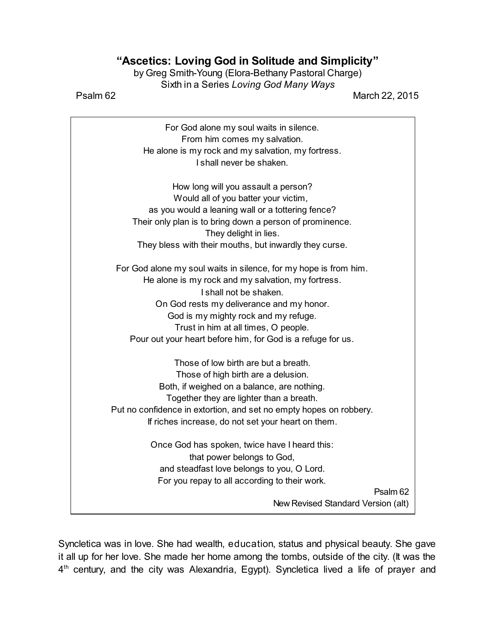## **"Ascetics: Loving God in Solitude and Simplicity"**

by Greg Smith-Young (Elora-Bethany Pastoral Charge) Sixth in a Series *Loving God Many Ways*

Psalm 62 March 22, 2015

For God alone my soul waits in silence. From him comes my salvation. He alone is my rock and my salvation, my fortress. I shall never be shaken.

How long will you assault a person? Would all of you batter your victim, as you would a leaning wall or a tottering fence? Their only plan is to bring down a person of prominence. They delight in lies. They bless with their mouths, but inwardly they curse.

For God alone my soul waits in silence, for my hope is from him. He alone is my rock and my salvation, my fortress. I shall not be shaken. On God rests my deliverance and my honor. God is my mighty rock and my refuge. Trust in him at all times, O people. Pour out your heart before him, for God is a refuge for us.

Those of low birth are but a breath. Those of high birth are a delusion. Both, if weighed on a balance, are nothing. Together they are lighter than a breath. Put no confidence in extortion, and set no empty hopes on robbery. If riches increase, do not set your heart on them.

> Once God has spoken, twice have I heard this: that power belongs to God, and steadfast love belongs to you, O Lord. For you repay to all according to their work.

Psalm 62 New Revised Standard Version (alt)

Syncletica was in love. She had wealth, education, status and physical beauty. She gave it all up for her love. She made her home among the tombs, outside of the city. (It was the 4 th century, and the city was Alexandria, Egypt). Syncletica lived a life of prayer and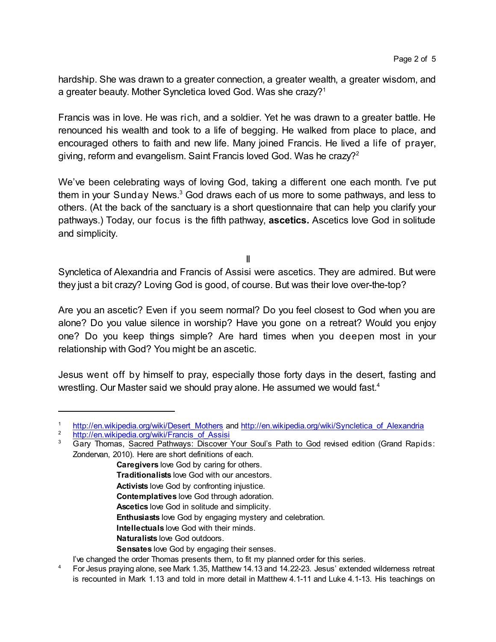hardship. She was drawn to a greater connection, a greater wealth, a greater wisdom, and a greater beauty. Mother Syncletica loved God. Was she crazy?<sup>1</sup>

Francis was in love. He was rich, and a soldier. Yet he was drawn to a greater battle. He renounced his wealth and took to a life of begging. He walked from place to place, and encouraged others to faith and new life. Many joined Francis. He lived a life of prayer, giving, reform and evangelism. Saint Francis loved God. Was he crazy?<sup>2</sup>

We've been celebrating ways of loving God, taking a different one each month. I've put them in your Sunday News.<sup>3</sup> God draws each of us more to some pathways, and less to others. (At the back of the sanctuary is a short questionnaire that can help you clarify your pathways.) Today, our focus is the fifth pathway, **ascetics.** Ascetics love God in solitude and simplicity.

II

Syncletica of Alexandria and Francis of Assisi were ascetics. They are admired. But were they just a bit crazy? Loving God is good, of course. But was their love over-the-top?

Are you an ascetic? Even if you seem normal? Do you feel closest to God when you are alone? Do you value silence in worship? Have you gone on a retreat? Would you enjoy one? Do you keep things simple? Are hard times when you deepen most in your relationship with God? You might be an ascetic.

Jesus went off by himself to pray, especially those forty days in the desert, fasting and wrestling. Our Master said we should pray alone. He assumed we would fast.<sup>4</sup>

**Caregivers** love God by caring for others. **Traditionalists** love God with our ancestors. **Activists** love God by confronting injustice. **Contemplatives** love God through adoration. **Ascetics** love God in solitude and simplicity. **Enthusiasts** love God by engaging mystery and celebration. **Intellectuals** love God with their minds. **Naturalists** love God outdoors. **Sensates** love God by engaging their senses.

<sup>1</sup> [http://en.wikipedia.org/wiki/Desert\\_Mothers](http://en.wikipedia.org/wiki/Desert_Mothers) and [http://en.wikipedia.org/wiki/Syncletica\\_of\\_Alexandria](http://en.wikipedia.org/wiki/Syncletica_of_Alexandria)

<sup>&</sup>lt;sup>2</sup> [http://en.wikipedia.org/wiki/Francis\\_of\\_Assisi](http://en.wikipedia.org/wiki/Francis_of_Assisi)<sup>3</sup> Cany Themas Secret Rethugue: Diseaser

Gary Thomas, Sacred Pathways: Discover Your Soul's Path to God revised edition (Grand Rapids: Zondervan, 2010). Here are short definitions of each.

I've changed the order Thomas presents them, to fit my planned order for this series.

<sup>&</sup>lt;sup>4</sup> For Jesus praying alone, see Mark 1.35, Matthew 14.13 and 14.22-23. Jesus' extended wilderness retreat is recounted in Mark 1.13 and told in more detail in Matthew 4.1-11 and Luke 4.1-13. His teachings on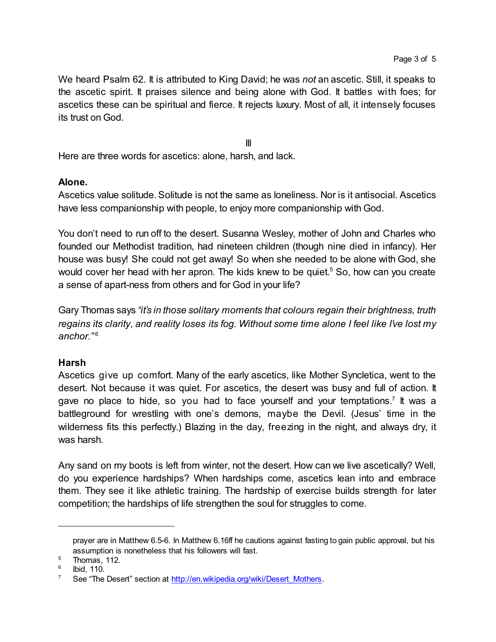We heard Psalm 62. It is attributed to King David; he was *not* an ascetic. Still, it speaks to the ascetic spirit. It praises silence and being alone with God. It battles with foes; for ascetics these can be spiritual and fierce. It rejects luxury. Most of all, it intensely focuses its trust on God.

III

Here are three words for ascetics: alone, harsh, and lack.

## **Alone.**

Ascetics value solitude.Solitude is not the same as loneliness. Nor is it antisocial. Ascetics have less companionship with people, to enjoy more companionship with God.

You don't need to run off to the desert. Susanna Wesley, mother of John and Charles who founded our Methodist tradition, had nineteen children (though nine died in infancy). Her house was busy! She could not get away! So when she needed to be alone with God, she would cover her head with her apron. The kids knew to be quiet. <sup>5</sup> So, how can you create a sense of apart-ness from others and for God in your life?

Gary Thomas says *"it's in those solitary moments that colours regain their brightness, truth regains its clarity, and reality loses its fog. Without some time alone I feel like I've lost my anchor."* 6

## **Harsh**

Ascetics give up comfort. Many of the early ascetics, like Mother Syncletica, went to the desert. Not because it was quiet. For ascetics, the desert was busy and full of action. It gave no place to hide, so you had to face yourself and your temptations.<sup>7</sup> It was a battleground for wrestling with one's demons, maybe the Devil. (Jesus' time in the wilderness fits this perfectly.) Blazing in the day, freezing in the night, and always dry, it was harsh.

Any sand on my boots is left from winter, not the desert. How can we live ascetically? Well, do you experience hardships? When hardships come, ascetics lean into and embrace them. They see it like athletic training. The hardship of exercise builds strength for later competition; the hardships of life strengthen the soul for struggles to come.

prayer are in Matthew 6.5-6. In Matthew 6.16ff he cautions against fasting to gain public approval, but his assumption is nonetheless that his followers will fast.

<sup>5</sup> Thomas, 112.

<sup>6</sup> Ibid, 110.

<sup>&</sup>lt;sup>7</sup> See "The Desert" section at [http://en.wikipedia.org/wiki/Desert\\_Mothers](http://en.wikipedia.org/wiki/Desert_Mothers).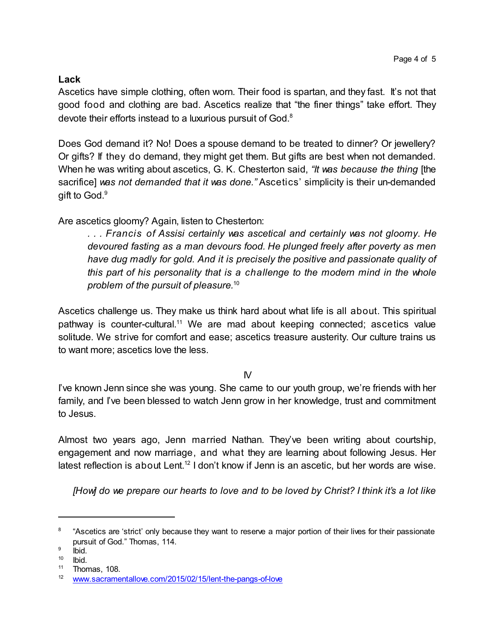## **Lack**

Ascetics have simple clothing, often worn. Their food is spartan, and they fast. It's not that good food and clothing are bad. Ascetics realize that "the finer things" take effort. They devote their efforts instead to a luxurious pursuit of God.<sup>8</sup>

Does God demand it? No! Does a spouse demand to be treated to dinner? Or jewellery? Or gifts? If they do demand, they might get them. But gifts are best when not demanded. When he was writing about ascetics, G. K. Chesterton said, *"It was because the thing* [the sacrifice] *was not demanded that it was done."* Ascetics' simplicity is their un-demanded gift to God.<sup>9</sup>

Are ascetics gloomy? Again, listen to Chesterton:

*. . . Francis of Assisi certainly was ascetical and certainly was not gloomy. He devoured fasting as a man devours food. He plunged freely after poverty as men have dug madly for gold. And it is precisely the positive and passionate quality of this part of his personality that is a challenge to the modern mind in the whole problem of the pursuit of pleasure.*<sup>10</sup>

Ascetics challenge us. They make us think hard about what life is all about. This spiritual pathway is counter-cultural.<sup>11</sup> We are mad about keeping connected; ascetics value solitude. We strive for comfort and ease; ascetics treasure austerity. Our culture trains us to want more; ascetics love the less.

 $N$ 

I've known Jenn since she was young. She came to our youth group, we're friends with her family, and I've been blessed to watch Jenn grow in her knowledge, trust and commitment to Jesus.

Almost two years ago, Jenn married Nathan. They've been writing about courtship, engagement and now marriage, and what they are learning about following Jesus. Her latest reflection is about Lent.<sup>12</sup> I don't know if Jenn is an ascetic, but her words are wise.

*[How] do we prepare our hearts to love and to be loved by Christ? I think it's a lot like*

<sup>8</sup> "Ascetics are 'strict' only because they want to reserve a major portion of their lives for their passionate pursuit of God." Thomas, 114.

<sup>9</sup> Ibid.

<sup>10</sup> Ibid.

 $11$  Thomas, 108.

<sup>12</sup> [www.sacramentallove.com/2015/02/15/lent-the-pangs-of-love](http://www.sacramentallove.com/2015/02/15/lent-the-pangs-of-love)